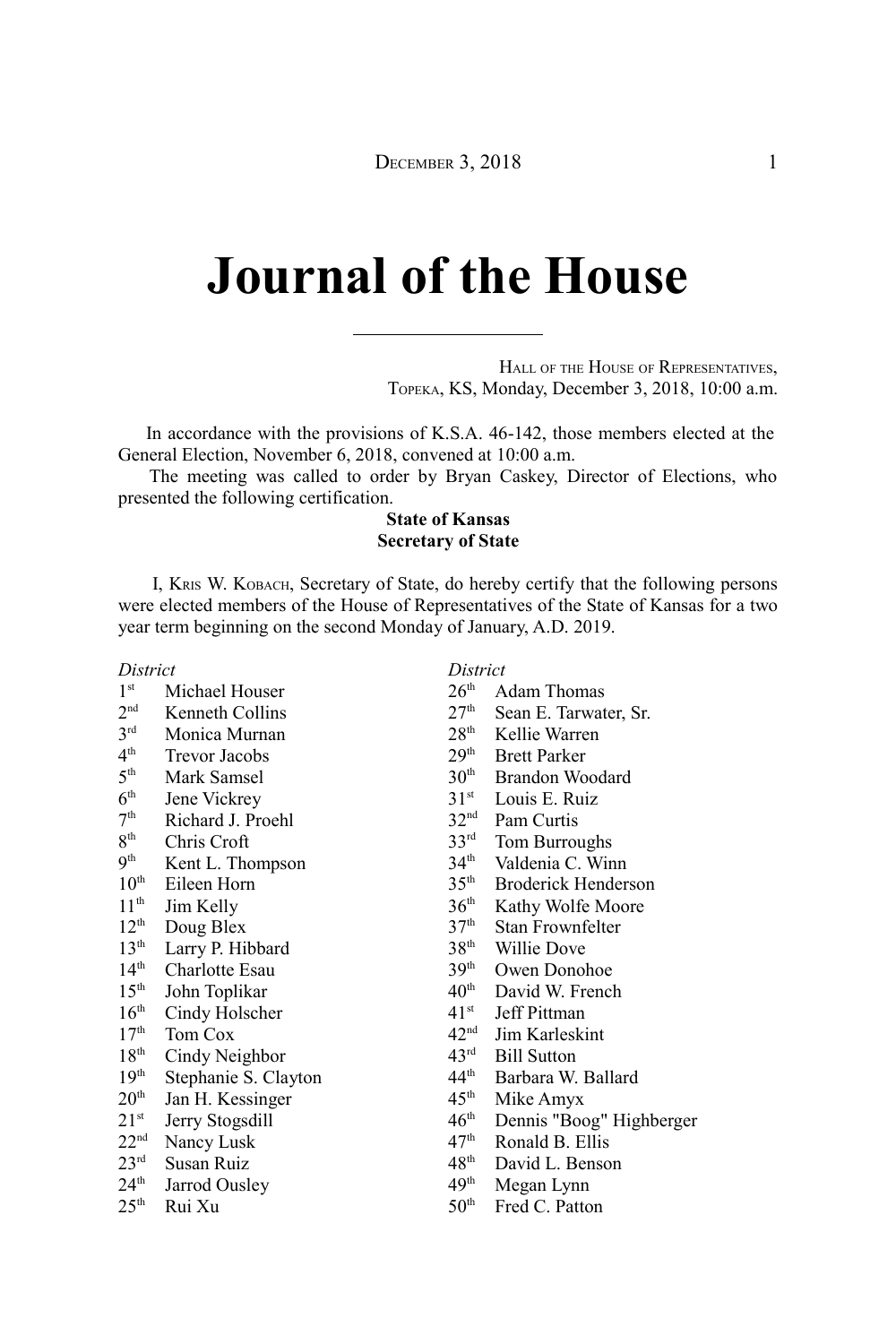## **Journal of the House**

HALL OF THE HOUSE OF REPRESENTATIVES, TOPEKA, KS, Monday, December 3, 2018, 10:00 a.m.

In accordance with the provisions of K.S.A. 46-142, those members elected at the General Election, November 6, 2018, convened at 10:00 a.m.

The meeting was called to order by Bryan Caskey, Director of Elections, who presented the following certification.

## **State of Kansas Secretary of State**

I, KRIS W. KOBACH, Secretary of State, do hereby certify that the following persons were elected members of the House of Representatives of the State of Kansas for a two year term beginning on the second Monday of January, A.D. 2019.

*District*

| 1 <sup>st</sup> | Michael Houser |
|-----------------|----------------|
|-----------------|----------------|

- $2<sub>nd</sub>$ Kenneth Collins
- $3<sup>rd</sup>$ Monica Murnan
- $4<sup>th</sup>$ Trevor Jacobs
- $5<sup>th</sup>$ Mark Samsel
- $6<sup>th</sup>$ Jene Vickrey
- $7<sup>th</sup>$ Richard J. Proehl
- $8<sup>th</sup>$ Chris Croft
- $9<sup>th</sup>$ Kent L. Thompson
- $10^{th}$  Eileen Horn<br> $11^{th}$  Jim Kelly
- 
- $11^{th}$  Jim Kelly<br> $12^{th}$  Doug Bley Doug Blex
- 
- $13^{th}$  Larry P. Hibbard<br> $14^{th}$  Charlotte Esau Charlotte Esau
- $15<sup>th</sup>$  John Toplikar
- 
- $16<sup>th</sup>$  Cindy Holscher<br>17<sup>th</sup> Tom Cox
- Tom Cox
- $18<sup>th</sup>$  Cindy Neighbor<br>19<sup>th</sup> Stephanie S. Cla
- Stephanie S. Clayton
- $20<sup>th</sup>$  Jan H. Kessinger
- $21<sup>st</sup>$  Jerry Stogsdill<br> $22<sup>nd</sup>$  Nancy Lusk
- Nancy Lusk
- 23rd Susan Ruiz
- 24<sup>th</sup> Jarrod Ousley
- $25<sup>th</sup>$  Rui Xu

## *District*

- $26<sup>th</sup>$  Adam Thomas<br> $27<sup>th</sup>$  Sean E. Tarwat
- $27<sup>th</sup>$  Sean E. Tarwater, Sr.<br> $28<sup>th</sup>$  Kellie Warren
- Kellie Warren
- $29<sup>th</sup>$  Brett Parker<br>30<sup>th</sup> Brandon Wo
- $30^{th}$  Brandon Woodard<br> $31^{st}$  Louis E. Ruiz
- $31<sup>st</sup>$  Louis E. Ruiz<br>32<sup>nd</sup> Pam Curtis
- 
- $32<sup>nd</sup>$  Pam Curtis<br> $33<sup>rd</sup>$  Tom Burrou Tom Burroughs
- 34<sup>th</sup> Valdenia C. Winn
- 35th Broderick Henderson
- $36<sup>th</sup>$  Kathy Wolfe Moore<br> $37<sup>th</sup>$  Stan Frownfelter
- Stan Frownfelter
- 
- $38<sup>th</sup>$  Willie Dove<br> $39<sup>th</sup>$  Owen Donol Owen Donohoe
- $40^{\text{th}}$  David W. French<br> $41^{\text{st}}$  Jeff Pittman
- $41<sup>st</sup>$  Jeff Pittman<br> $42<sup>nd</sup>$  Jim Karleski
- $42<sup>nd</sup>$  Jim Karleskint<br> $43<sup>rd</sup>$  Bill Sutton
- $43^{\text{rd}}$  Bill Sutton<br> $44^{\text{th}}$  Barbara W.
- $44^{\text{th}}$  Barbara W. Ballard<br> $45^{\text{th}}$  Mike Amyx
- Mike Amyx
- $46<sup>th</sup>$  Dennis "Boog" Highberger<br> $47<sup>th</sup>$  Ronald B. Ellis
- Ronald B. Ellis
- $48<sup>th</sup>$  David L. Benson<br> $49<sup>th</sup>$  Megan Lynn
- Megan Lynn
- 50<sup>th</sup> Fred C. Patton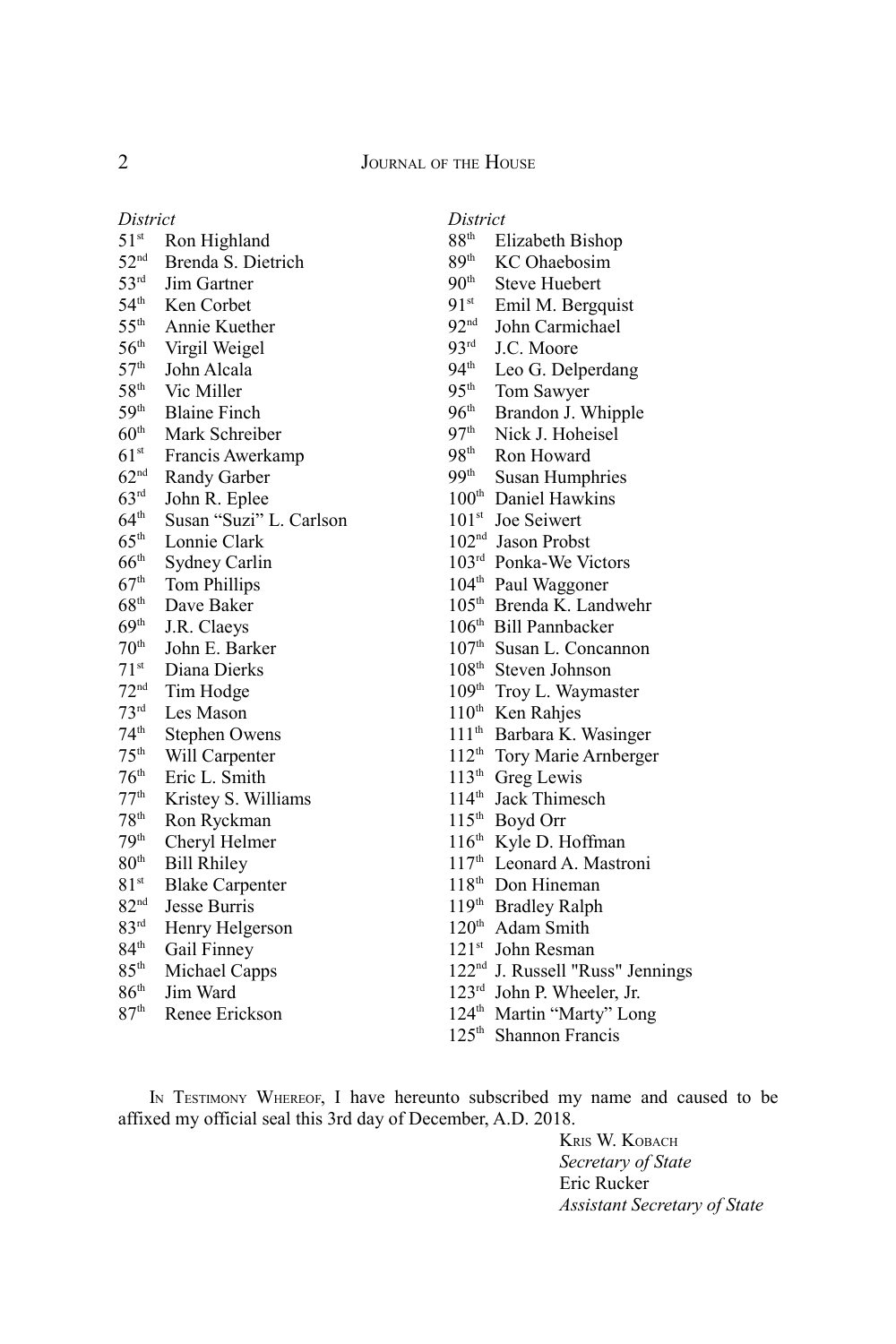| District         |                         |
|------------------|-------------------------|
| $51^{\rm st}$    | Ron Highland            |
| 52 <sup>nd</sup> | Brenda S. Dietrich      |
| $53^{\text{rd}}$ | Jim Gartner             |
| 54 <sup>th</sup> | Ken Corbet              |
| $55^{\text{th}}$ | Annie Kuether           |
| 56 <sup>th</sup> | Virgil Weigel           |
| 57 <sup>th</sup> | John Alcala             |
| 58 <sup>th</sup> | Vic Miller              |
| 59 <sup>th</sup> | <b>Blaine Finch</b>     |
| 60 <sup>th</sup> | Mark Schreiber          |
| 61 <sup>st</sup> | Francis Awerkamp        |
| 62 <sup>nd</sup> | Randy Garber            |
| 63 <sup>rd</sup> | John R. Eplee           |
| $64^{\text{th}}$ | Susan "Suzi" L. Carlson |
| 65 <sup>th</sup> | Lonnie Clark            |
| 66 <sup>th</sup> | Sydney Carlin           |
| 67 <sup>th</sup> | <b>Tom Phillips</b>     |
| 68 <sup>th</sup> | Dave Baker              |
| 69 <sup>th</sup> | J.R. Claeys             |
| 70 <sup>th</sup> | John E. Barker          |
| 71 <sup>st</sup> | Diana Dierks            |
| 72 <sup>nd</sup> | Tim Hodge               |
| 73 <sup>rd</sup> | Les Mason               |
| 74 <sup>th</sup> | <b>Stephen Owens</b>    |
| 75 <sup>th</sup> | Will Carpenter          |
| 76 <sup>th</sup> | Eric L. Smith           |
| 77 <sup>th</sup> | Kristey S. Williams     |
| 78 <sup>th</sup> | Ron Ryckman             |
| 79 <sup>th</sup> | Cheryl Helmer           |
| 80 <sup>th</sup> | <b>Bill Rhiley</b>      |
| 81 <sup>st</sup> | <b>Blake Carpenter</b>  |
| 82 <sup>nd</sup> | Jesse Burris            |
| 83 <sup>rd</sup> | Henry Helgerson         |
| 84 <sup>th</sup> | Gail Finney             |
| 85 <sup>th</sup> | Michael Capps           |
| 86 <sup>th</sup> | Jim Ward                |
| 87 <sup>th</sup> | Renee Erickson          |

## *District*<br>88<sup>th</sup> El

- $88<sup>th</sup>$  Elizabeth Bishop<br> $89<sup>th</sup>$  KC Ohaebosim
- $89<sup>th</sup>$  KC Ohaebosim<br>90<sup>th</sup> Steve Huebert
- Steve Huebert
- $91<sup>st</sup>$  Emil M. Bergquist
- nd John Carmichael
- rd J.C. Moore
- 94<sup>th</sup> Leo G. Delperdang
- $95<sup>th</sup>$  Tom Sawyer<br>96<sup>th</sup> Brandon J. W
- Brandon J. Whipple
- 97<sup>th</sup> Nick J. Hoheisel
- $98<sup>th</sup>$  Ron Howard<br>99<sup>th</sup> Susan Humpl
- Susan Humphries
- $100<sup>th</sup>$  Daniel Hawkins
- st Joe Seiwert
- nd Jason Probst
- rd Ponka-We Victors
- 104<sup>th</sup> Paul Waggoner
- th Brenda K. Landwehr
- th Bill Pannbacker
- th Susan L. Concannon
- th Steven Johnson
- 109<sup>th</sup> Troy L. Waymaster
- 110<sup>th</sup> Ken Rahjes
- 111<sup>th</sup> Barbara K. Wasinger
- 112<sup>th</sup> Tory Marie Arnberger
- th Greg Lewis
- 114<sup>th</sup> Jack Thimesch
- 115<sup>th</sup> Boyd Orr
- 116<sup>th</sup> Kyle D. Hoffman
- 117<sup>th</sup> Leonard A. Mastroni
- $118<sup>th</sup>$  Don Hineman
- th Bradley Ralph
- $120<sup>th</sup>$  Adam Smith
- 121<sup>st</sup> John Resman
- nd J. Russell "Russ" Jennings
- rd John P. Wheeler, Jr.
- 124<sup>th</sup> Martin "Marty" Long
- th Shannon Francis

IN TESTIMONY WHEREOF, I have hereunto subscribed my name and caused to be affixed my official seal this 3rd day of December, A.D. 2018.

> KRIS W. KOBACH *Secretary of State* Eric Rucker *Assistant Secretary of State*